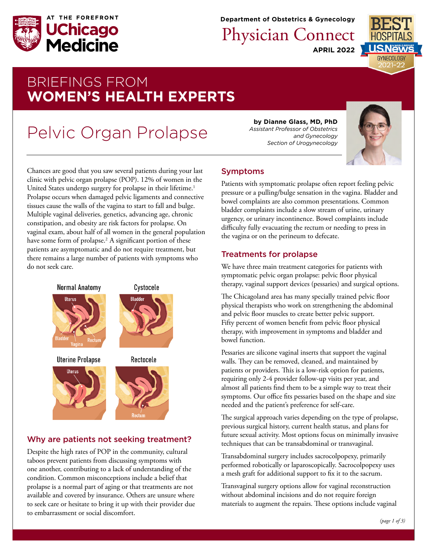

**Department of Obstetrics & Gynecology**

**APRIL 2022** Physician Connect



## BRIEFINGS FROM **WOMEN'S HEALTH EXPERTS**

# Pelvic Organ Prolapse

Chances are good that you saw several patients during your last clinic with pelvic organ prolapse (POP). 12% of women in the United States undergo surgery for prolapse in their lifetime.<sup>1</sup> Prolapse occurs when damaged pelvic ligaments and connective tissues cause the walls of the vagina to start to fall and bulge. Multiple vaginal deliveries, genetics, advancing age, chronic constipation, and obesity are risk factors for prolapse. On vaginal exam, about half of all women in the general population have some form of prolapse.<sup>2</sup> A significant portion of these patients are asymptomatic and do not require treatment, but there remains a large number of patients with symptoms who do not seek care.



## Why are patients not seeking treatment?

Despite the high rates of POP in the community, cultural taboos prevent patients from discussing symptoms with one another, contributing to a lack of understanding of the condition. Common misconceptions include a belief that prolapse is a normal part of aging or that treatments are not available and covered by insurance. Others are unsure where to seek care or hesitate to bring it up with their provider due to embarrassment or social discomfort.

**by Dianne Glass, MD, PhD** *Assistant Professor of Obstetrics and Gynecology Section of Urogynecology* 



## Symptoms

Patients with symptomatic prolapse often report feeling pelvic pressure or a pulling/bulge sensation in the vagina. Bladder and bowel complaints are also common presentations. Common bladder complaints include a slow stream of urine, urinary urgency, or urinary incontinence. Bowel complaints include difficulty fully evacuating the rectum or needing to press in the vagina or on the perineum to defecate.

## Treatments for prolapse

We have three main treatment categories for patients with symptomatic pelvic organ prolapse: pelvic floor physical therapy, vaginal support devices (pessaries) and surgical options.

The Chicagoland area has many specially trained pelvic floor physical therapists who work on strengthening the abdominal and pelvic floor muscles to create better pelvic support. Fifty percent of women benefit from pelvic floor physical therapy, with improvement in symptoms and bladder and bowel function.

Pessaries are silicone vaginal inserts that support the vaginal walls. They can be removed, cleaned, and maintained by patients or providers. This is a low-risk option for patients, requiring only 2-4 provider follow-up visits per year, and almost all patients find them to be a simple way to treat their symptoms. Our office fits pessaries based on the shape and size needed and the patient's preference for self-care.

The surgical approach varies depending on the type of prolapse, previous surgical history, current health status, and plans for future sexual activity. Most options focus on minimally invasive techniques that can be transabdominal or transvaginal.

Transabdominal surgery includes sacrocolpopexy, primarily performed robotically or laparoscopically. Sacrocolpopexy uses a mesh graft for additional support to fix it to the sacrum.

Transvaginal surgery options allow for vaginal reconstruction without abdominal incisions and do not require foreign materials to augment the repairs. These options include vaginal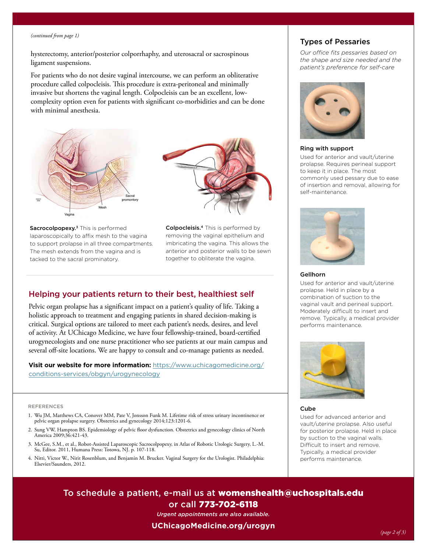#### *(continued from page 1)*

hysterectomy, anterior/posterior colporrhaphy, and uterosacral or sacrospinous ligament suspensions.

For patients who do not desire vaginal intercourse, we can perform an obliterative procedure called colpocleisis. This procedure is extra-peritoneal and minimally invasive but shortens the vaginal length. Colpocleisis can be an excellent, lowcomplexity option even for patients with significant co-morbidities and can be done with minimal anesthesia.







Colpocleisis.<sup>4</sup> This is performed by removing the vaginal epithelium and imbricating the vagina. This allows the anterior and posterior walls to be sewn together to obliterate the vagina.

## Helping your patients return to their best, healthiest self

Pelvic organ prolapse has a significant impact on a patient's quality of life. Taking a holistic approach to treatment and engaging patients in shared decision-making is critical. Surgical options are tailored to meet each patient's needs, desires, and level of activity. At UChicago Medicine, we have four fellowship-trained, board-certified urogynecologists and one nurse practitioner who see patients at our main campus and several off-site locations. We are happy to consult and co-manage patients as needed.

**Visit our website for more information:** [https://www.uchicagomedicine.org/](https://www.uchicagomedicine.org/conditions-services/obgyn/urogynecology) [conditions-services/obgyn/urogynecology](https://www.uchicagomedicine.org/conditions-services/obgyn/urogynecology)

#### REFERENCES

- 1. Wu JM, Matthews CA, Conover MM, Pate V, Jonsson Funk M. Lifetime risk of stress urinary incontinence or pelvic organ prolapse surgery. Obstetrics and gynecology 2014;123:1201-6.
- 2. Sung VW, Hampton BS. Epidemiology of pelvic floor dysfunction. Obstetrics and gynecology clinics of North America 2009;36:421-43.
- 3. McGee, S.M., et al., Robot-Assisted Laparoscopic Sacrocolpopexy, in Atlas of Robotic Urologic Surgery, L.-M. Su, Editor. 2011, Humana Press: Totowa, NJ. p. 107-118.
- 4. Nitti, Victor W., Nirit Rosenblum, and Benjamin M. Brucker. Vaginal Surgery for the Urologist. Philadelphia: Elsevier/Saunders, 2012.

## Types of Pessaries

*Our office fits pessaries based on the shape and size needed and the patient's preference for self-care*



#### Ring with support

Used for anterior and vault/uterine prolapse. Requires perineal support to keep it in place. The most commonly used pessary due to ease of insertion and removal, allowing for self-maintenance.



#### Gellhorn

Used for anterior and vault/uterine prolapse. Held in place by a combination of suction to the vaginal vault and perineal support. Moderately difficult to insert and remove. Typically, a medical provider performs maintenance.



#### Cube

Used for advanced anterior and vault/uterine prolapse. Also useful for posterior prolapse. Held in place by suction to the vaginal walls. Difficult to insert and remove. Typically, a medical provider performs maintenance.

To schedule a patient, e-mail us at [womenshealth@uchospitals.edu](mailto:womenshealth%40uchospitals.edu?subject=) or call 773-702-6118

*Urgent appointments are also available.* 

#### **[UChicagoMedicine.org/urogyn](http://UChicagoMedicine.org/urogyn)**